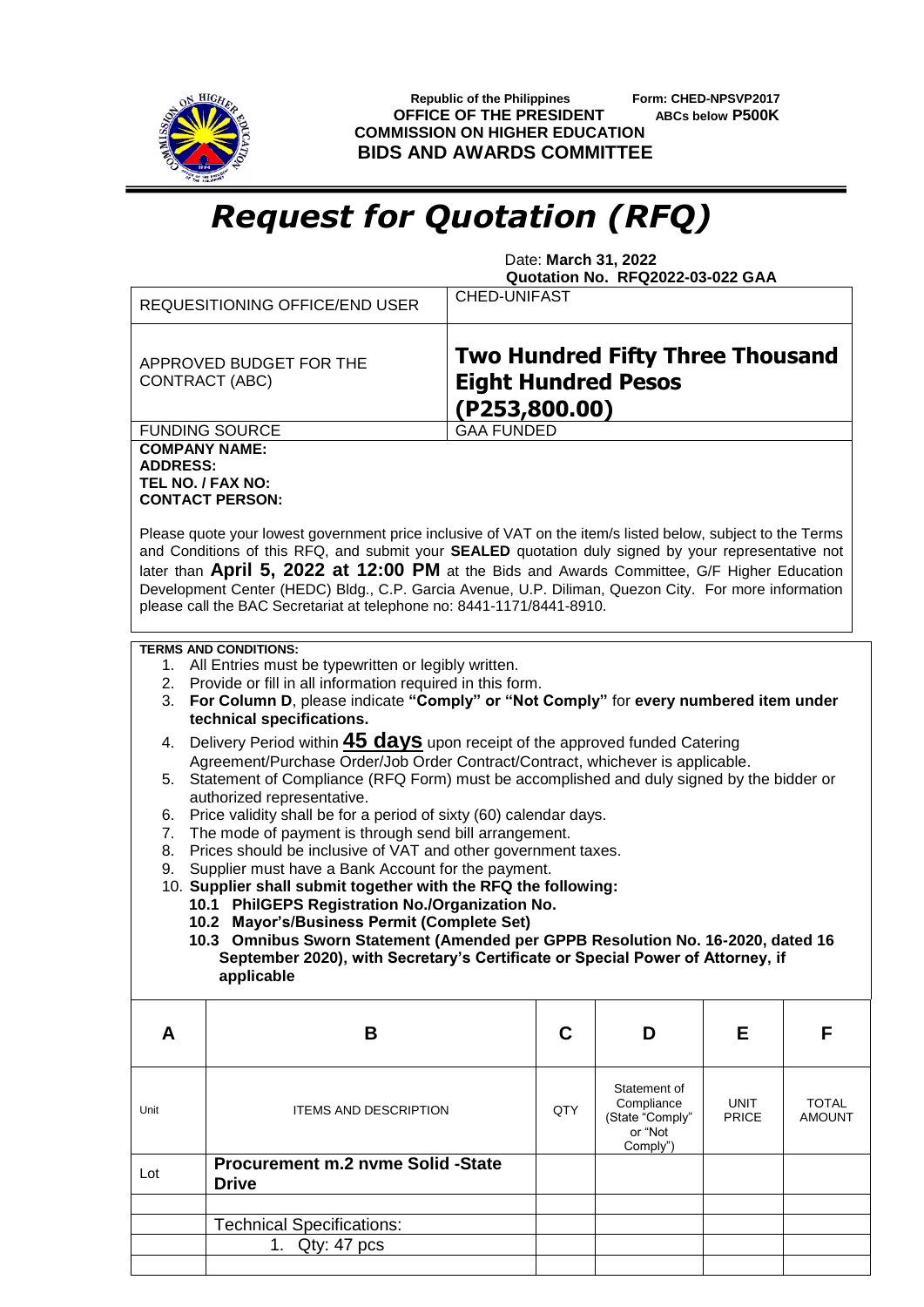

 **Republic of the Philippines Form: CHED-NPSVP2017 OFFICE OF THE PRESIDENT ABCs below P500K COMMISSION ON HIGHER EDUCATION BIDS AND AWARDS COMMITTEE**

## *Request for Quotation (RFQ)*

 Date: **March 31, 2022 Quotation No. RFQ2022-03-022 GAA**

|                                                                                                                                                                      | <b>REQUESITIONING OFFICE/END USER</b>                                                                                                                                                                                                                                                                                                                                                                                                                                                              | <b>CHED-UNIFAST</b>                                                                    |                                                                      |                      |                               |  |  |
|----------------------------------------------------------------------------------------------------------------------------------------------------------------------|----------------------------------------------------------------------------------------------------------------------------------------------------------------------------------------------------------------------------------------------------------------------------------------------------------------------------------------------------------------------------------------------------------------------------------------------------------------------------------------------------|----------------------------------------------------------------------------------------|----------------------------------------------------------------------|----------------------|-------------------------------|--|--|
| APPROVED BUDGET FOR THE<br>CONTRACT (ABC)                                                                                                                            |                                                                                                                                                                                                                                                                                                                                                                                                                                                                                                    | <b>Two Hundred Fifty Three Thousand</b><br><b>Eight Hundred Pesos</b><br>(P253,800.00) |                                                                      |                      |                               |  |  |
|                                                                                                                                                                      | <b>FUNDING SOURCE</b>                                                                                                                                                                                                                                                                                                                                                                                                                                                                              | <b>GAA FUNDED</b>                                                                      |                                                                      |                      |                               |  |  |
| <b>COMPANY NAME:</b><br><b>ADDRESS:</b><br>TEL NO. / FAX NO:                                                                                                         | <b>CONTACT PERSON:</b>                                                                                                                                                                                                                                                                                                                                                                                                                                                                             |                                                                                        |                                                                      |                      |                               |  |  |
|                                                                                                                                                                      | Please quote your lowest government price inclusive of VAT on the item/s listed below, subject to the Terms<br>and Conditions of this RFQ, and submit your SEALED quotation duly signed by your representative not<br>later than April 5, 2022 at 12:00 PM at the Bids and Awards Committee, G/F Higher Education<br>Development Center (HEDC) Bldg., C.P. Garcia Avenue, U.P. Diliman, Quezon City. For more information<br>please call the BAC Secretariat at telephone no: 8441-1171/8441-8910. |                                                                                        |                                                                      |                      |                               |  |  |
| 3.                                                                                                                                                                   | <b>TERMS AND CONDITIONS:</b><br>1. All Entries must be typewritten or legibly written.<br>2. Provide or fill in all information required in this form.<br>For Column D, please indicate "Comply" or "Not Comply" for every numbered item under<br>technical specifications.                                                                                                                                                                                                                        |                                                                                        |                                                                      |                      |                               |  |  |
| 4.                                                                                                                                                                   |                                                                                                                                                                                                                                                                                                                                                                                                                                                                                                    |                                                                                        |                                                                      |                      |                               |  |  |
| Delivery Period within <b>45 days</b> upon receipt of the approved funded Catering<br>Agreement/Purchase Order/Job Order Contract/Contract, whichever is applicable. |                                                                                                                                                                                                                                                                                                                                                                                                                                                                                                    |                                                                                        |                                                                      |                      |                               |  |  |
| Statement of Compliance (RFQ Form) must be accomplished and duly signed by the bidder or<br>5.                                                                       |                                                                                                                                                                                                                                                                                                                                                                                                                                                                                                    |                                                                                        |                                                                      |                      |                               |  |  |
| authorized representative.                                                                                                                                           |                                                                                                                                                                                                                                                                                                                                                                                                                                                                                                    |                                                                                        |                                                                      |                      |                               |  |  |
| Price validity shall be for a period of sixty (60) calendar days.<br>6.                                                                                              |                                                                                                                                                                                                                                                                                                                                                                                                                                                                                                    |                                                                                        |                                                                      |                      |                               |  |  |
| 8.                                                                                                                                                                   | The mode of payment is through send bill arrangement.<br>7.<br>Prices should be inclusive of VAT and other government taxes.                                                                                                                                                                                                                                                                                                                                                                       |                                                                                        |                                                                      |                      |                               |  |  |
| 9.                                                                                                                                                                   | Supplier must have a Bank Account for the payment.                                                                                                                                                                                                                                                                                                                                                                                                                                                 |                                                                                        |                                                                      |                      |                               |  |  |
|                                                                                                                                                                      | 10. Supplier shall submit together with the RFQ the following:                                                                                                                                                                                                                                                                                                                                                                                                                                     |                                                                                        |                                                                      |                      |                               |  |  |
|                                                                                                                                                                      | 10.1 PhilGEPS Registration No./Organization No.                                                                                                                                                                                                                                                                                                                                                                                                                                                    |                                                                                        |                                                                      |                      |                               |  |  |
|                                                                                                                                                                      | 10.2 Mayor's/Business Permit (Complete Set)                                                                                                                                                                                                                                                                                                                                                                                                                                                        |                                                                                        |                                                                      |                      |                               |  |  |
| 10.3 Omnibus Sworn Statement (Amended per GPPB Resolution No. 16-2020, dated 16<br>September 2020), with Secretary's Certificate or Special Power of Attorney, if    |                                                                                                                                                                                                                                                                                                                                                                                                                                                                                                    |                                                                                        |                                                                      |                      |                               |  |  |
|                                                                                                                                                                      | applicable                                                                                                                                                                                                                                                                                                                                                                                                                                                                                         |                                                                                        |                                                                      |                      |                               |  |  |
| A                                                                                                                                                                    | B                                                                                                                                                                                                                                                                                                                                                                                                                                                                                                  | C                                                                                      | D                                                                    | Е                    | F                             |  |  |
| Unit                                                                                                                                                                 | <b>ITEMS AND DESCRIPTION</b>                                                                                                                                                                                                                                                                                                                                                                                                                                                                       | QTY                                                                                    | Statement of<br>Compliance<br>(State "Comply"<br>or "Not<br>Comply") | <b>UNIT</b><br>PRICE | <b>TOTAL</b><br><b>AMOUNT</b> |  |  |
| Lot                                                                                                                                                                  | Procurement m.2 nyme Solid -State<br><b>Drive</b>                                                                                                                                                                                                                                                                                                                                                                                                                                                  |                                                                                        |                                                                      |                      |                               |  |  |
|                                                                                                                                                                      |                                                                                                                                                                                                                                                                                                                                                                                                                                                                                                    |                                                                                        |                                                                      |                      |                               |  |  |
|                                                                                                                                                                      | <b>Technical Specifications:</b>                                                                                                                                                                                                                                                                                                                                                                                                                                                                   |                                                                                        |                                                                      |                      |                               |  |  |
|                                                                                                                                                                      | 1. Qty: 47 pcs                                                                                                                                                                                                                                                                                                                                                                                                                                                                                     |                                                                                        |                                                                      |                      |                               |  |  |
|                                                                                                                                                                      |                                                                                                                                                                                                                                                                                                                                                                                                                                                                                                    |                                                                                        |                                                                      |                      |                               |  |  |